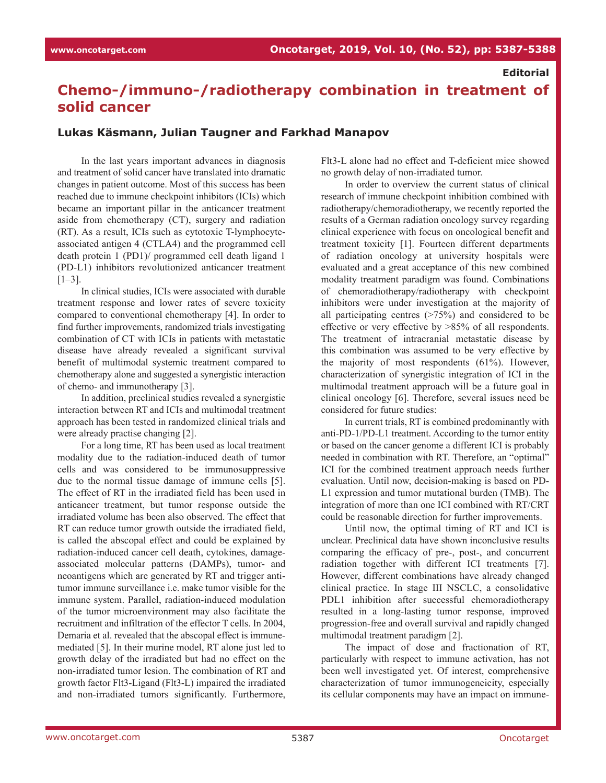#### **Editorial**

# **Chemo-/immuno-/radiotherapy combination in treatment of solid cancer**

### **Lukas Käsmann, Julian Taugner and Farkhad Manapov**

In the last years important advances in diagnosis and treatment of solid cancer have translated into dramatic changes in patient outcome. Most of this success has been reached due to immune checkpoint inhibitors (ICIs) which became an important pillar in the anticancer treatment aside from chemotherapy (CT), surgery and radiation (RT). As a result, ICIs such as cytotoxic T-lymphocyteassociated antigen 4 (CTLA4) and the programmed cell death protein 1 (PD1)/ programmed cell death ligand 1 (PD-L1) inhibitors revolutionized anticancer treatment  $[1-3]$ .

In clinical studies, ICIs were associated with durable treatment response and lower rates of severe toxicity compared to conventional chemotherapy [4]. In order to find further improvements, randomized trials investigating combination of CT with ICIs in patients with metastatic disease have already revealed a significant survival benefit of multimodal systemic treatment compared to chemotherapy alone and suggested a synergistic interaction of chemo- and immunotherapy [3].

In addition, preclinical studies revealed a synergistic interaction between RT and ICIs and multimodal treatment approach has been tested in randomized clinical trials and were already practise changing [2].

For a long time, RT has been used as local treatment modality due to the radiation-induced death of tumor cells and was considered to be immunosuppressive due to the normal tissue damage of immune cells [5]. The effect of RT in the irradiated field has been used in anticancer treatment, but tumor response outside the irradiated volume has been also observed. The effect that RT can reduce tumor growth outside the irradiated field, is called the abscopal effect and could be explained by radiation-induced cancer cell death, cytokines, damageassociated molecular patterns (DAMPs), tumor- and neoantigens which are generated by RT and trigger antitumor immune surveillance i.e. make tumor visible for the immune system. Parallel, radiation-induced modulation of the tumor microenvironment may also facilitate the recruitment and infiltration of the effector T cells. In 2004, Demaria et al. revealed that the abscopal effect is immunemediated [5]. In their murine model, RT alone just led to growth delay of the irradiated but had no effect on the non-irradiated tumor lesion. The combination of RT and growth factor Flt3-Ligand (Flt3-L) impaired the irradiated and non-irradiated tumors significantly. Furthermore, Flt3-L alone had no effect and T-deficient mice showed no growth delay of non-irradiated tumor.

In order to overview the current status of clinical research of immune checkpoint inhibition combined with radiotherapy/chemoradiotherapy, we recently reported the results of a German radiation oncology survey regarding clinical experience with focus on oncological benefit and treatment toxicity [1]. Fourteen different departments of radiation oncology at university hospitals were evaluated and a great acceptance of this new combined modality treatment paradigm was found. Combinations of chemoradiotherapy/radiotherapy with checkpoint inhibitors were under investigation at the majority of all participating centres (>75%) and considered to be effective or very effective by >85% of all respondents. The treatment of intracranial metastatic disease by this combination was assumed to be very effective by the majority of most respondents (61%). However, characterization of synergistic integration of ICI in the multimodal treatment approach will be a future goal in clinical oncology [6]. Therefore, several issues need be considered for future studies:

In current trials, RT is combined predominantly with anti-PD-1/PD-L1 treatment. According to the tumor entity or based on the cancer genome a different ICI is probably needed in combination with RT. Therefore, an "optimal" ICI for the combined treatment approach needs further evaluation. Until now, decision-making is based on PD-L1 expression and tumor mutational burden (TMB). The integration of more than one ICI combined with RT/CRT could be reasonable direction for further improvements.

Until now, the optimal timing of RT and ICI is unclear. Preclinical data have shown inconclusive results comparing the efficacy of pre-, post-, and concurrent radiation together with different ICI treatments [7]. However, different combinations have already changed clinical practice. In stage III NSCLC, a consolidative PDL1 inhibition after successful chemoradiotherapy resulted in a long-lasting tumor response, improved progression-free and overall survival and rapidly changed multimodal treatment paradigm [2].

The impact of dose and fractionation of RT, particularly with respect to immune activation, has not been well investigated yet. Of interest, comprehensive characterization of tumor immunogeneicity, especially its cellular components may have an impact on immune